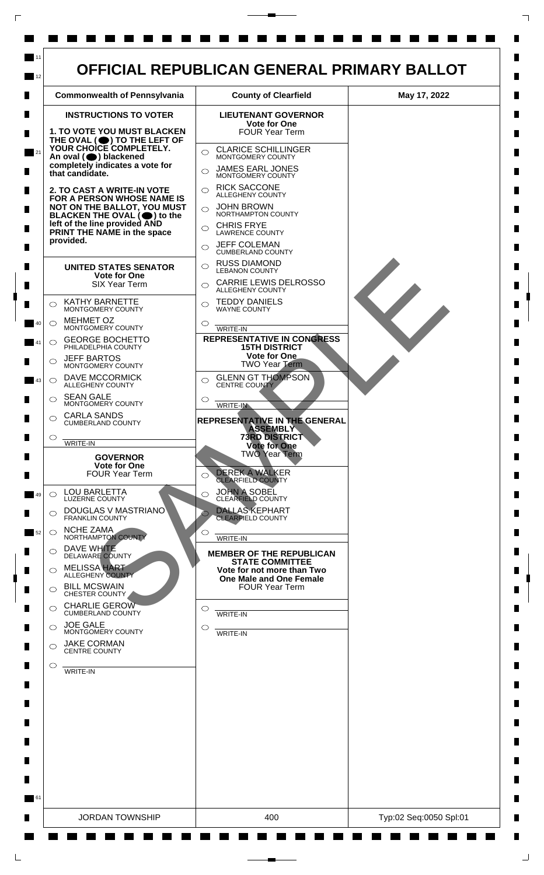

 $\mathsf{L}$